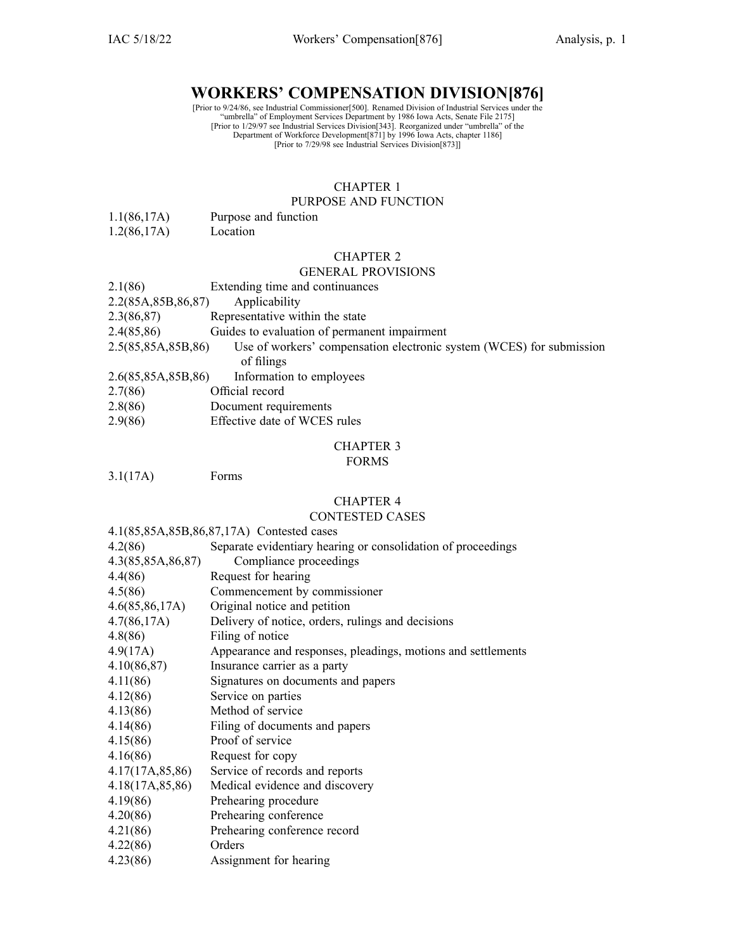# **WORKERS' COMPENSATION DIVISION[876]**

[Prior to 9/24/86, see Industrial Commissioner[500]. Renamed Division of Industrial Services under the<br>
"umbrella" of Employment Services Department by 1986 Iowa Acts, Senate File 2175]<br>
[Prior to 1/29/97 see Industrial Se

# CHAPTER 1

# PURPOSE AND FUNCTION

- 1.1(86,17A) Purpose and function
- 1.2(86,17A) Location

# CHAPTER 2

# GENERAL PROVISIONS

| 2.1(86)               | Extending time and continuances                                      |
|-----------------------|----------------------------------------------------------------------|
| 2.2(85A, 85B, 86, 87) | Applicability                                                        |
| 2.3(86,87)            | Representative within the state                                      |
| 2.4(85,86)            | Guides to evaluation of permanent impairment                         |
| 2.5(85,85A,85B,86)    | Use of workers' compensation electronic system (WCES) for submission |
|                       | of filings                                                           |
| 2.6(85,85A,85B,86)    | Information to employees                                             |
| 2.7(86)               | Official record                                                      |
| 2000                  |                                                                      |

- 2.8(86) Document requirements
- 2.9(86) Effective date of WCES rules

# CHAPTER 3

#### FORMS

3.1(17A) Forms

### CHAPTER 4

# CONTESTED CASES

#### 4.1(85,85A,85B,86,87,17A) Contested cases

| 4.2(86)           | Separate evidentiary hearing or consolidation of proceedings |
|-------------------|--------------------------------------------------------------|
| 4.3(85,85A,86,87) | Compliance proceedings                                       |
| 4.4(86)           | Request for hearing                                          |
| 4.5(86)           | Commencement by commissioner                                 |
| 4.6(85,86,17A)    | Original notice and petition                                 |
| 4.7(86,17A)       | Delivery of notice, orders, rulings and decisions            |
| 4.8(86)           | Filing of notice                                             |
| 4.9(17A)          | Appearance and responses, pleadings, motions and settlements |
| 4.10(86,87)       | Insurance carrier as a party                                 |
| 4.11(86)          | Signatures on documents and papers                           |
| 4.12(86)          | Service on parties                                           |
| 4.13(86)          | Method of service                                            |
| 4.14(86)          | Filing of documents and papers                               |
| 4.15(86)          | Proof of service                                             |
| 4.16(86)          | Request for copy                                             |
| 4.17(17A, 85, 86) | Service of records and reports                               |
| 4.18(17A, 85, 86) | Medical evidence and discovery                               |
| 4.19(86)          | Prehearing procedure                                         |
| 4.20(86)          | Prehearing conference                                        |
| 4.21(86)          | Prehearing conference record                                 |
| 4.22(86)          | Orders                                                       |
| 4.23(86)          | Assignment for hearing                                       |
|                   |                                                              |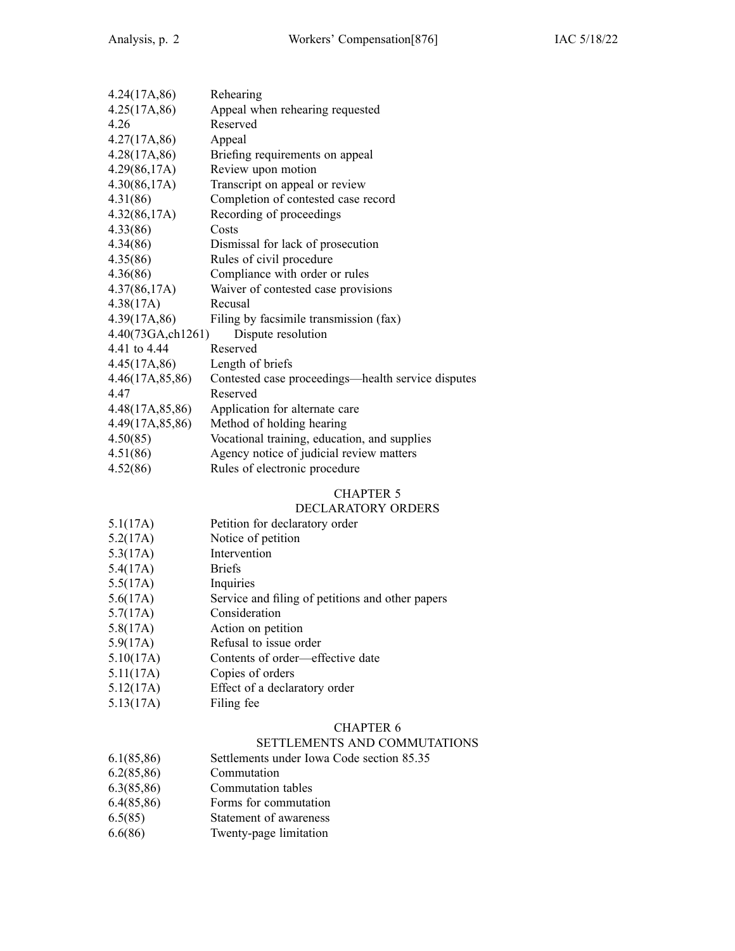| 4.24(17A, 86)     | Rehearing                                          |
|-------------------|----------------------------------------------------|
| 4.25(17A, 86)     | Appeal when rehearing requested                    |
| 4.26              | Reserved                                           |
| 4.27(17A, 86)     | Appeal                                             |
| 4.28(17A, 86)     | Briefing requirements on appeal                    |
| 4.29(86,17A)      | Review upon motion                                 |
| 4.30(86,17A)      | Transcript on appeal or review                     |
| 4.31(86)          | Completion of contested case record                |
| 4.32(86,17A)      | Recording of proceedings                           |
| 4.33(86)          | Costs                                              |
| 4.34(86)          | Dismissal for lack of prosecution                  |
| 4.35(86)          | Rules of civil procedure                           |
| 4.36(86)          | Compliance with order or rules                     |
| 4.37(86,17A)      | Waiver of contested case provisions                |
| 4.38(17A)         | Recusal                                            |
| 4.39(17A, 86)     | Filing by facsimile transmission (fax)             |
| 4.40(73GA,ch1261) | Dispute resolution                                 |
| 4.41 to 4.44      | Reserved                                           |
| 4.45(17A, 86)     | Length of briefs                                   |
| 4.46(17A,85,86)   | Contested case proceedings—health service disputes |
| 4.47              | Reserved                                           |
| 4.48(17A, 85, 86) | Application for alternate care                     |
| 4.49(17A, 85, 86) | Method of holding hearing                          |
| 4.50(85)          | Vocational training, education, and supplies       |
| 4.51(86)          | Agency notice of judicial review matters           |
| 4.52(86)          | Rules of electronic procedure                      |

# CHAPTER 5

# DECLARATORY ORDERS

- 5.1(17A) Petition for declaratory order
- 5.2(17A) Notice of petition
- 5.3(17A) Intervention
- 5.4(17A) Briefs
- 5.5(17A) Inquiries
- 5.6(17A) Service and filing of petitions and other papers
- 5.7(17A) Consideration
- 5.8(17A) Action on petition
- 5.9(17A) Refusal to issue order
- 5.10(17A) Contents of order—effective date
- 5.11(17A) Copies of orders
- 5.12(17A) Effect of <sup>a</sup> declaratory order
- 5.13(17A) Filing fee

# CHAPTER 6

### SETTLEMENTS AND COMMUTATIONS

- 6.1(85,86) Settlements under Iowa Code section [85.35](https://www.legis.iowa.gov/docs/ico/section/85.35.pdf)
- 6.2(85,86) Commutation
- 6.3(85,86) Commutation tables
- 6.4(85,86) Forms for commutation
- 6.5(85) Statement of awareness
- 6.6(86) Twenty-page limitation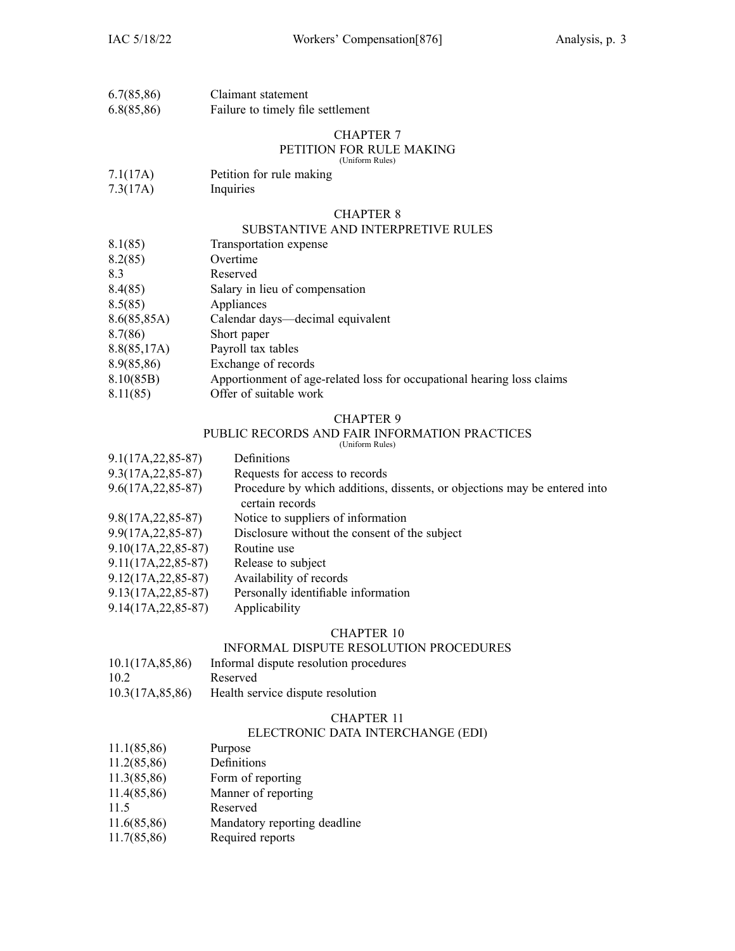| 6.7(85,86) | Claimant statement                |
|------------|-----------------------------------|
| 6.8(85,86) | Failure to timely file settlement |

# CHAPTER 7

#### PETITION FOR RULE MAKING (Uniform Rules)

- 7.1(17A) Petition for rule making
- 7.3(17A) Inquiries

#### CHAPTER 8

#### SUBSTANTIVE AND INTERPRETIVE RULES

- 8.1(85) Transportation expense
- 8.2(85) Overtime

8.3 Reserved

- 8.4(85) Salary in lieu of compensation
- 8.5(85) Appliances
- 8.6(85,85A) Calendar days—decimal equivalent
- 8.7(86) Short paper
- 8.8(85,17A) Payroll tax tables
- 8.9(85,86) Exchange of records
- 8.10(85B) Apportionment of age-related loss for occupational hearing loss claims
- 8.11(85) Offer of suitable work

#### CHAPTER 9

# PUBLIC RECORDS AND FAIR INFORMATION PRACTICES

(Uniform Rules)

| $9.1(17A, 22, 85-87)$  | Definitions                                                                                  |
|------------------------|----------------------------------------------------------------------------------------------|
| $9.3(17A, 22, 85-87)$  | Requests for access to records                                                               |
| $9.6(17A, 22, 85-87)$  | Procedure by which additions, dissents, or objections may be entered into<br>certain records |
| $9.8(17A, 22, 85-87)$  | Notice to suppliers of information                                                           |
| $9.9(17A, 22, 85-87)$  | Disclosure without the consent of the subject                                                |
| $9.10(17A, 22, 85-87)$ | Routine use                                                                                  |
| $9.11(17A, 22, 85-87)$ | Release to subject                                                                           |
| $9.12(17A, 22, 85-87)$ | Availability of records                                                                      |
| $9.13(17A, 22, 85-87)$ | Personally identifiable information                                                          |
|                        |                                                                                              |

9.14(17A,22,85-87) Applicability

# CHAPTER 10

# INFORMAL DISPUTE RESOLUTION PROCEDURES

| 10.1(17A, 85, 86) | Informal dispute resolution procedures |
|-------------------|----------------------------------------|
| 10.2              | Reserved                               |
| 10.3(17A, 85, 86) | Health service dispute resolution      |

#### CHAPTER 11

#### ELECTRONIC DATA INTERCHANGE (EDI)

- 11.1(85,86) Purpose
- 11.2(85,86) Definitions
- 11.3(85,86) Form of reporting
- 11.4(85,86) Manner of reporting
- 11.5 Reserved
- 11.6(85,86) Mandatory reporting deadline
- 11.7(85,86) Required reports